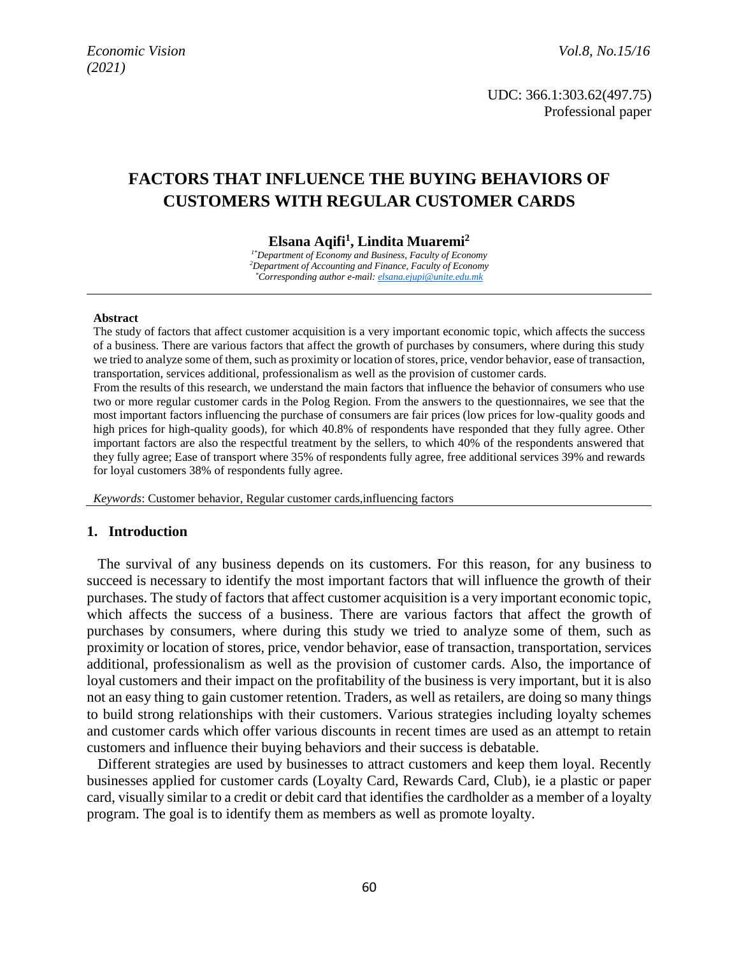UDC: 366.1:303.62(497.75) Professional paper

# **FACTORS THAT INFLUENCE THE BUYING BEHAVIORS OF CUSTOMERS WITH REGULAR CUSTOMER CARDS**

**Elsana Aqifi<sup>1</sup> , Lindita Muaremi<sup>2</sup>**

*1\*Department of Economy and Business, Faculty of Economy <sup>2</sup>Department of Accounting and Finance, Faculty of Economy \*Corresponding author e-mail: [elsana.ejupi@unite.edu.mk](mailto:elsana.ejupi@unite.edu.mk)*

#### **Abstract**

The study of factors that affect customer acquisition is a very important economic topic, which affects the success of a business. There are various factors that affect the growth of purchases by consumers, where during this study we tried to analyze some of them, such as proximity or location of stores, price, vendor behavior, ease of transaction, transportation, services additional, professionalism as well as the provision of customer cards.

From the results of this research, we understand the main factors that influence the behavior of consumers who use two or more regular customer cards in the Polog Region. From the answers to the questionnaires, we see that the most important factors influencing the purchase of consumers are fair prices (low prices for low-quality goods and high prices for high-quality goods), for which 40.8% of respondents have responded that they fully agree. Other important factors are also the respectful treatment by the sellers, to which 40% of the respondents answered that they fully agree; Ease of transport where 35% of respondents fully agree, free additional services 39% and rewards for loyal customers 38% of respondents fully agree.

*Keywords*: Customer behavior, Regular customer cards,influencing factors

#### **1. Introduction**

The survival of any business depends on its customers. For this reason, for any business to succeed is necessary to identify the most important factors that will influence the growth of their purchases. The study of factors that affect customer acquisition is a very important economic topic, which affects the success of a business. There are various factors that affect the growth of purchases by consumers, where during this study we tried to analyze some of them, such as proximity or location of stores, price, vendor behavior, ease of transaction, transportation, services additional, professionalism as well as the provision of customer cards. Also, the importance of loyal customers and their impact on the profitability of the business is very important, but it is also not an easy thing to gain customer retention. Traders, as well as retailers, are doing so many things to build strong relationships with their customers. Various strategies including loyalty schemes and customer cards which offer various discounts in recent times are used as an attempt to retain customers and influence their buying behaviors and their success is debatable.

Different strategies are used by businesses to attract customers and keep them loyal. Recently businesses applied for customer cards (Loyalty Card, Rewards Card, Club), ie a plastic or paper card, visually similar to a credit or debit card that identifies the cardholder as a member of a loyalty program. The goal is to identify them as members as well as promote loyalty.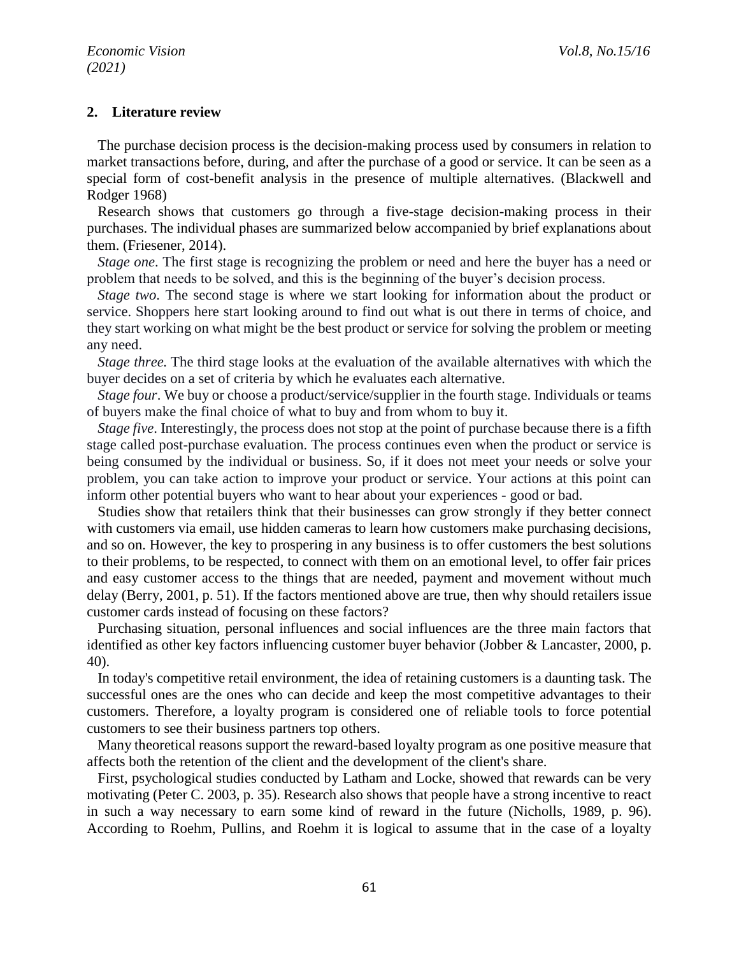### **2. Literature review**

The purchase decision process is the decision-making process used by consumers in relation to market transactions before, during, and after the purchase of a good or service. It can be seen as a special form of cost-benefit analysis in the presence of multiple alternatives. (Blackwell and Rodger 1968)

Research shows that customers go through a five-stage decision-making process in their purchases. The individual phases are summarized below accompanied by brief explanations about them. (Friesener, 2014).

*Stage one*. The first stage is recognizing the problem or need and here the buyer has a need or problem that needs to be solved, and this is the beginning of the buyer's decision process.

*Stage two*. The second stage is where we start looking for information about the product or service. Shoppers here start looking around to find out what is out there in terms of choice, and they start working on what might be the best product or service for solving the problem or meeting any need.

*Stage three.* The third stage looks at the evaluation of the available alternatives with which the buyer decides on a set of criteria by which he evaluates each alternative.

*Stage four*. We buy or choose a product/service/supplier in the fourth stage. Individuals or teams of buyers make the final choice of what to buy and from whom to buy it.

*Stage five*. Interestingly, the process does not stop at the point of purchase because there is a fifth stage called post-purchase evaluation. The process continues even when the product or service is being consumed by the individual or business. So, if it does not meet your needs or solve your problem, you can take action to improve your product or service. Your actions at this point can inform other potential buyers who want to hear about your experiences - good or bad.

Studies show that retailers think that their businesses can grow strongly if they better connect with customers via email, use hidden cameras to learn how customers make purchasing decisions, and so on. However, the key to prospering in any business is to offer customers the best solutions to their problems, to be respected, to connect with them on an emotional level, to offer fair prices and easy customer access to the things that are needed, payment and movement without much delay (Berry, 2001, p. 51). If the factors mentioned above are true, then why should retailers issue customer cards instead of focusing on these factors?

Purchasing situation, personal influences and social influences are the three main factors that identified as other key factors influencing customer buyer behavior (Jobber & Lancaster, 2000, p. 40).

In today's competitive retail environment, the idea of retaining customers is a daunting task. The successful ones are the ones who can decide and keep the most competitive advantages to their customers. Therefore, a loyalty program is considered one of reliable tools to force potential customers to see their business partners top others.

Many theoretical reasons support the reward-based loyalty program as one positive measure that affects both the retention of the client and the development of the client's share.

First, psychological studies conducted by Latham and Locke, showed that rewards can be very motivating (Peter C. 2003, p. 35). Research also shows that people have a strong incentive to react in such a way necessary to earn some kind of reward in the future (Nicholls, 1989, p. 96). According to Roehm, Pullins, and Roehm it is logical to assume that in the case of a loyalty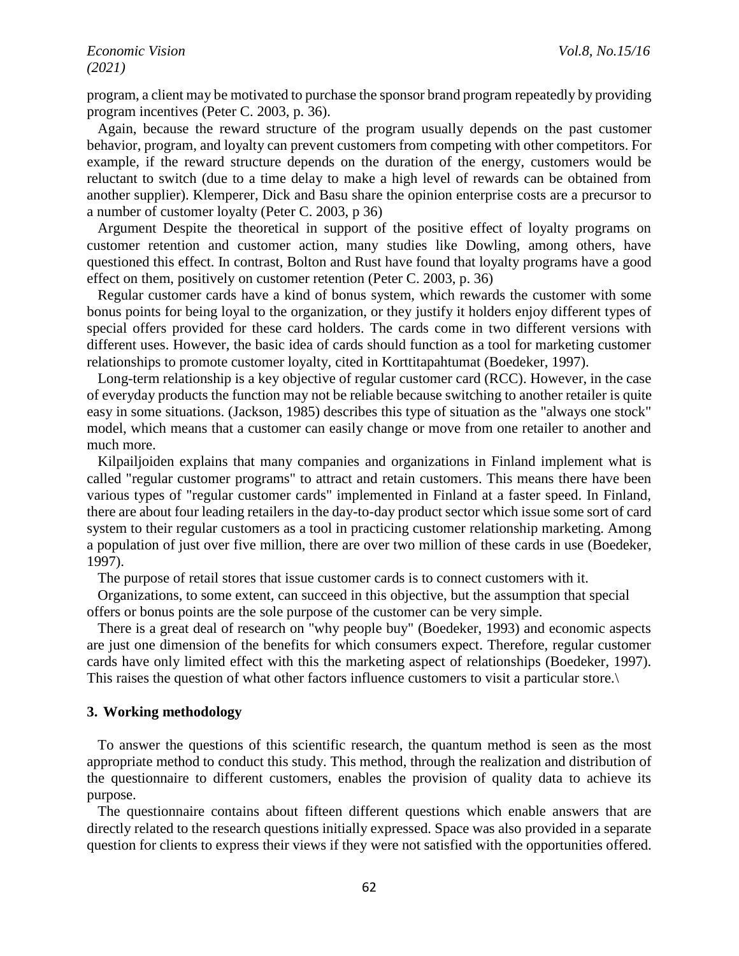program, a client may be motivated to purchase the sponsor brand program repeatedly by providing program incentives (Peter C. 2003, p. 36).

Again, because the reward structure of the program usually depends on the past customer behavior, program, and loyalty can prevent customers from competing with other competitors. For example, if the reward structure depends on the duration of the energy, customers would be reluctant to switch (due to a time delay to make a high level of rewards can be obtained from another supplier). Klemperer, Dick and Basu share the opinion enterprise costs are a precursor to a number of customer loyalty (Peter C. 2003, p 36)

Argument Despite the theoretical in support of the positive effect of loyalty programs on customer retention and customer action, many studies like Dowling, among others, have questioned this effect. In contrast, Bolton and Rust have found that loyalty programs have a good effect on them, positively on customer retention (Peter C. 2003, p. 36)

Regular customer cards have a kind of bonus system, which rewards the customer with some bonus points for being loyal to the organization, or they justify it holders enjoy different types of special offers provided for these card holders. The cards come in two different versions with different uses. However, the basic idea of cards should function as a tool for marketing customer relationships to promote customer loyalty, cited in Korttitapahtumat (Boedeker, 1997).

Long-term relationship is a key objective of regular customer card (RCC). However, in the case of everyday products the function may not be reliable because switching to another retailer is quite easy in some situations. (Jackson, 1985) describes this type of situation as the "always one stock" model, which means that a customer can easily change or move from one retailer to another and much more.

Kilpailjoiden explains that many companies and organizations in Finland implement what is called "regular customer programs" to attract and retain customers. This means there have been various types of "regular customer cards" implemented in Finland at a faster speed. In Finland, there are about four leading retailers in the day-to-day product sector which issue some sort of card system to their regular customers as a tool in practicing customer relationship marketing. Among a population of just over five million, there are over two million of these cards in use (Boedeker, 1997).

The purpose of retail stores that issue customer cards is to connect customers with it.

Organizations, to some extent, can succeed in this objective, but the assumption that special offers or bonus points are the sole purpose of the customer can be very simple.

There is a great deal of research on "why people buy" (Boedeker, 1993) and economic aspects are just one dimension of the benefits for which consumers expect. Therefore, regular customer cards have only limited effect with this the marketing aspect of relationships (Boedeker, 1997). This raises the question of what other factors influence customers to visit a particular store.\

#### **3. Working methodology**

To answer the questions of this scientific research, the quantum method is seen as the most appropriate method to conduct this study. This method, through the realization and distribution of the questionnaire to different customers, enables the provision of quality data to achieve its purpose.

The questionnaire contains about fifteen different questions which enable answers that are directly related to the research questions initially expressed. Space was also provided in a separate question for clients to express their views if they were not satisfied with the opportunities offered.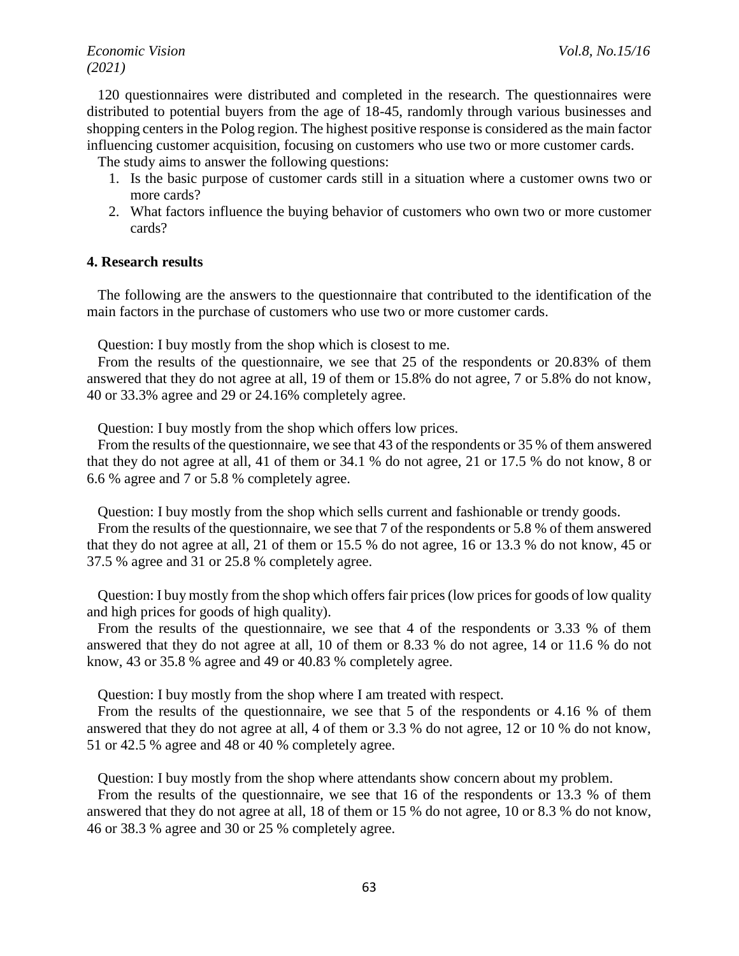*Economic Vision Vol.8, No.15/16 Vol.8, No.15/16 (2021)*

120 questionnaires were distributed and completed in the research. The questionnaires were distributed to potential buyers from the age of 18-45, randomly through various businesses and shopping centers in the Polog region. The highest positive response is considered as the main factor influencing customer acquisition, focusing on customers who use two or more customer cards.

The study aims to answer the following questions:

- 1. Is the basic purpose of customer cards still in a situation where a customer owns two or more cards?
- 2. What factors influence the buying behavior of customers who own two or more customer cards?

### **4. Research results**

The following are the answers to the questionnaire that contributed to the identification of the main factors in the purchase of customers who use two or more customer cards.

Question: I buy mostly from the shop which is closest to me.

From the results of the questionnaire, we see that 25 of the respondents or 20.83% of them answered that they do not agree at all, 19 of them or 15.8% do not agree, 7 or 5.8% do not know, 40 or 33.3% agree and 29 or 24.16% completely agree.

Question: I buy mostly from the shop which offers low prices.

From the results of the questionnaire, we see that 43 of the respondents or 35 % of them answered that they do not agree at all, 41 of them or 34.1 % do not agree, 21 or 17.5 % do not know, 8 or 6.6 % agree and 7 or 5.8 % completely agree.

Question: I buy mostly from the shop which sells current and fashionable or trendy goods.

From the results of the questionnaire, we see that 7 of the respondents or 5.8 % of them answered that they do not agree at all, 21 of them or 15.5 % do not agree, 16 or 13.3 % do not know, 45 or 37.5 % agree and 31 or 25.8 % completely agree.

Question: I buy mostly from the shop which offers fair prices (low prices for goods of low quality and high prices for goods of high quality).

From the results of the questionnaire, we see that 4 of the respondents or 3.33 % of them answered that they do not agree at all, 10 of them or 8.33 % do not agree, 14 or 11.6 % do not know, 43 or 35.8 % agree and 49 or 40.83 % completely agree.

Question: I buy mostly from the shop where I am treated with respect.

From the results of the questionnaire, we see that 5 of the respondents or 4.16 % of them answered that they do not agree at all, 4 of them or 3.3 % do not agree, 12 or 10 % do not know, 51 or 42.5 % agree and 48 or 40 % completely agree.

Question: I buy mostly from the shop where attendants show concern about my problem.

From the results of the questionnaire, we see that 16 of the respondents or 13.3 % of them answered that they do not agree at all, 18 of them or 15 % do not agree, 10 or 8.3 % do not know, 46 or 38.3 % agree and 30 or 25 % completely agree.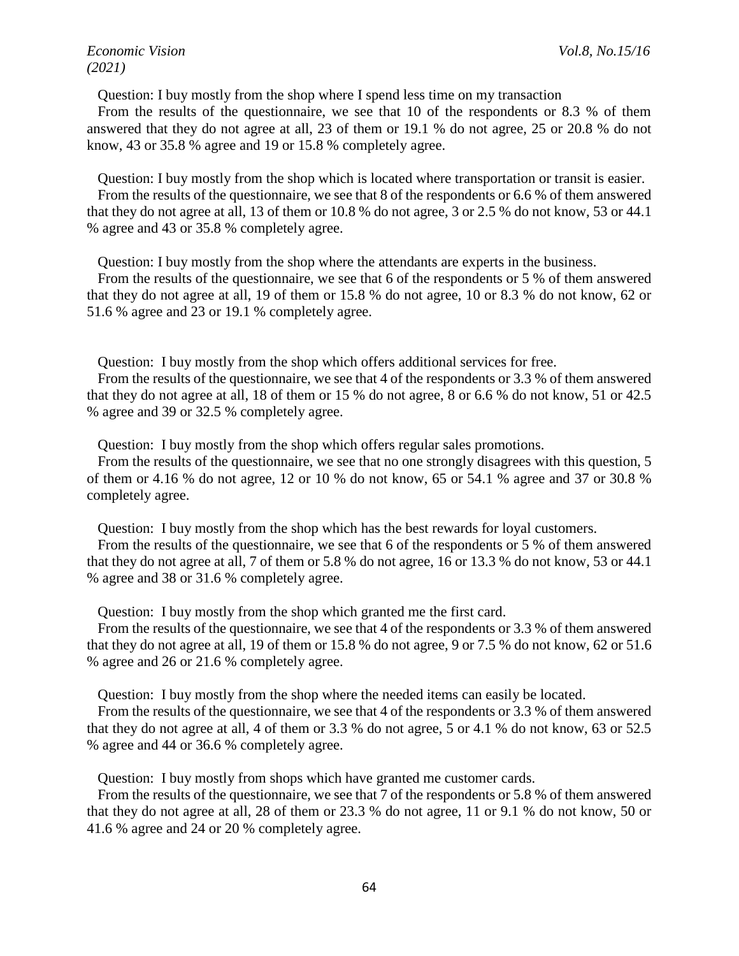Question: I buy mostly from the shop where I spend less time on my transaction

From the results of the questionnaire, we see that 10 of the respondents or 8.3 % of them answered that they do not agree at all, 23 of them or 19.1 % do not agree, 25 or 20.8 % do not know, 43 or 35.8 % agree and 19 or 15.8 % completely agree.

Question: I buy mostly from the shop which is located where transportation or transit is easier. From the results of the questionnaire, we see that 8 of the respondents or 6.6 % of them answered that they do not agree at all, 13 of them or 10.8 % do not agree, 3 or 2.5 % do not know, 53 or 44.1 % agree and 43 or 35.8 % completely agree.

Question: I buy mostly from the shop where the attendants are experts in the business.

From the results of the questionnaire, we see that 6 of the respondents or 5 % of them answered that they do not agree at all, 19 of them or 15.8 % do not agree, 10 or 8.3 % do not know, 62 or 51.6 % agree and 23 or 19.1 % completely agree.

Question: I buy mostly from the shop which offers additional services for free.

From the results of the questionnaire, we see that 4 of the respondents or 3.3 % of them answered that they do not agree at all, 18 of them or 15 % do not agree, 8 or 6.6 % do not know, 51 or 42.5 % agree and 39 or 32.5 % completely agree.

Question: I buy mostly from the shop which offers regular sales promotions.

From the results of the questionnaire, we see that no one strongly disagrees with this question, 5 of them or 4.16 % do not agree, 12 or 10 % do not know, 65 or 54.1 % agree and 37 or 30.8 % completely agree.

Question: I buy mostly from the shop which has the best rewards for loyal customers.

From the results of the questionnaire, we see that 6 of the respondents or 5 % of them answered that they do not agree at all, 7 of them or 5.8 % do not agree, 16 or 13.3 % do not know, 53 or 44.1 % agree and 38 or 31.6 % completely agree.

Question: I buy mostly from the shop which granted me the first card.

From the results of the questionnaire, we see that 4 of the respondents or 3.3 % of them answered that they do not agree at all, 19 of them or 15.8 % do not agree, 9 or 7.5 % do not know, 62 or 51.6 % agree and 26 or 21.6 % completely agree.

Question: I buy mostly from the shop where the needed items can easily be located.

From the results of the questionnaire, we see that 4 of the respondents or 3.3 % of them answered that they do not agree at all, 4 of them or 3.3 % do not agree, 5 or 4.1 % do not know, 63 or 52.5 % agree and 44 or 36.6 % completely agree.

Question: I buy mostly from shops which have granted me customer cards.

From the results of the questionnaire, we see that 7 of the respondents or 5.8 % of them answered that they do not agree at all, 28 of them or 23.3 % do not agree, 11 or 9.1 % do not know, 50 or 41.6 % agree and 24 or 20 % completely agree.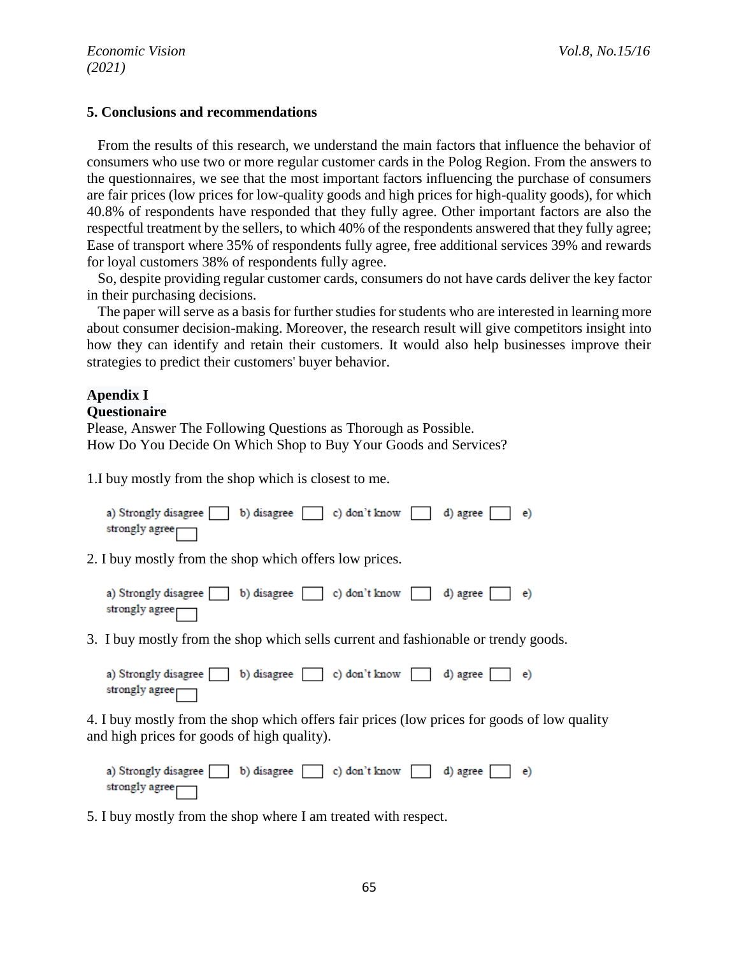### **5. Conclusions and recommendations**

From the results of this research, we understand the main factors that influence the behavior of consumers who use two or more regular customer cards in the Polog Region. From the answers to the questionnaires, we see that the most important factors influencing the purchase of consumers are fair prices (low prices for low-quality goods and high prices for high-quality goods), for which 40.8% of respondents have responded that they fully agree. Other important factors are also the respectful treatment by the sellers, to which 40% of the respondents answered that they fully agree; Ease of transport where 35% of respondents fully agree, free additional services 39% and rewards for loyal customers 38% of respondents fully agree.

So, despite providing regular customer cards, consumers do not have cards deliver the key factor in their purchasing decisions.

The paper will serve as a basis for further studies for students who are interested in learning more about consumer decision-making. Moreover, the research result will give competitors insight into how they can identify and retain their customers. It would also help businesses improve their strategies to predict their customers' buyer behavior.

## **Apendix I**

### **Questionaire**

Please, Answer The Following Questions as Thorough as Possible. How Do You Decide On Which Shop to Buy Your Goods and Services?

1.I buy mostly from the shop which is closest to me.

| a) Strongly disagree b) disagree c) don't know d) agree e) |  |  |  |  |
|------------------------------------------------------------|--|--|--|--|
| strongly agree <sub>∏</sub>                                |  |  |  |  |

2. I buy mostly from the shop which offers low prices.



3. I buy mostly from the shop which sells current and fashionable or trendy goods.

a) Strongly disagree b) disagree c) don't know d) agree  $e)$ strongly agree<sub>[</sub>

4. I buy mostly from the shop which offers fair prices (low prices for goods of low quality and high prices for goods of high quality).

a) Strongly disagree b) disagree c) don't know d) agree  $\epsilon$ strongly agree

5. I buy mostly from the shop where I am treated with respect.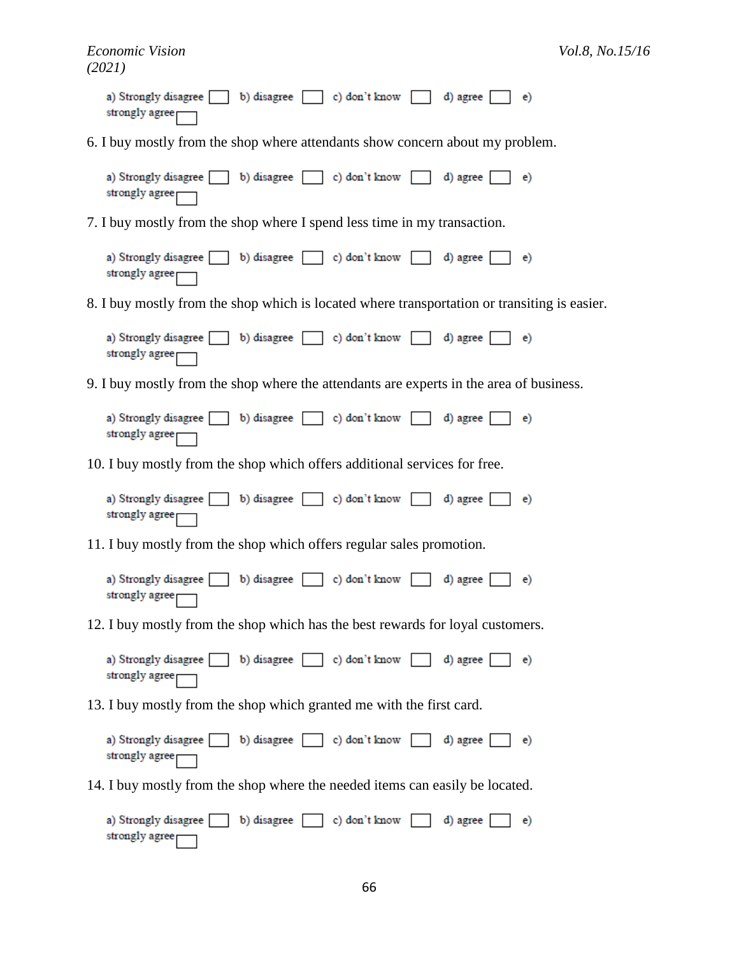| a) Strongly disagree b) disagree c) don't know d) agree e e e e b)<br>strongly agree $\Box$ |  |
|---------------------------------------------------------------------------------------------|--|
| 6. I buy mostly from the shop where attendants show concern about my problem.               |  |

a) Strongly disagree b) disagree c) don't know d) agree  $e)$ strongly agree

7. I buy mostly from the shop where I spend less time in my transaction.

a) Strongly disagree b) disagree  $\Box$  c) don't know d) agree  $e)$ strongly agree<sub>[</sub>

8. I buy mostly from the shop which is located where transportation or transiting is easier.

| a) Strongly disagree [b) disagree [c] c) don't know [d] agree [e] e) |  |  |  |  |
|----------------------------------------------------------------------|--|--|--|--|
| strongly agree                                                       |  |  |  |  |

9. I buy mostly from the shop where the attendants are experts in the area of business.

| a) Strongly disagree b) disagree c) don't know d) agree e e) |  |  |  |  |
|--------------------------------------------------------------|--|--|--|--|
| strongly agree                                               |  |  |  |  |

10. I buy mostly from the shop which offers additional services for free.

| a) Strongly disagree b) disagree c) don't know d) agree e e) |  |  |  |  |
|--------------------------------------------------------------|--|--|--|--|
| strongly agree <sub>Γ</sub>                                  |  |  |  |  |

11. I buy mostly from the shop which offers regular sales promotion.

| a) Strongly disagree b) disagree c) don't know d) agree e e) |  |  |  |  |
|--------------------------------------------------------------|--|--|--|--|
| strongly agree <sub>∏</sub>                                  |  |  |  |  |

12. I buy mostly from the shop which has the best rewards for loyal customers.

a) Strongly disagree b) disagree c) don't know d) agree  $e)$ strongly agree

13. I buy mostly from the shop which granted me with the first card.

b) disagree [ a) Strongly disagree  $\Box$  c) don't know d) agree  $e)$ strongly agree

14. I buy mostly from the shop where the needed items can easily be located.

a) Strongly disagree b) disagree c) don't know d) agree  $\epsilon$ strongly agree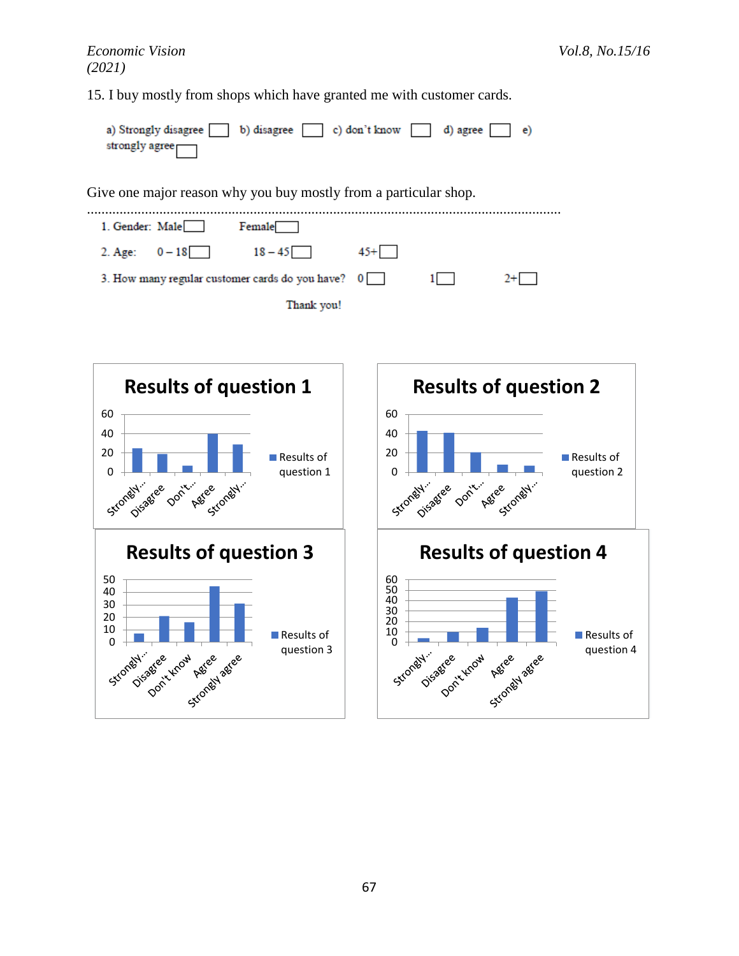15. I buy mostly from shops which have granted me with customer cards.

| a) Strongly disagree b) disagree c) don't know d) agree e e e b |  |  |  |
|-----------------------------------------------------------------|--|--|--|
| strongly agree                                                  |  |  |  |

Give one major reason why you buy mostly from a particular shop.

................................................................................................................................... 1. Gender: Male Female  $2.$  Age:  $0 - 18$  $18 - 45$  $45 +$ 3. How many regular customer cards do you have?  $\overline{\mathbf{0}}$  $\overline{1}$  $2+$ Thank you!

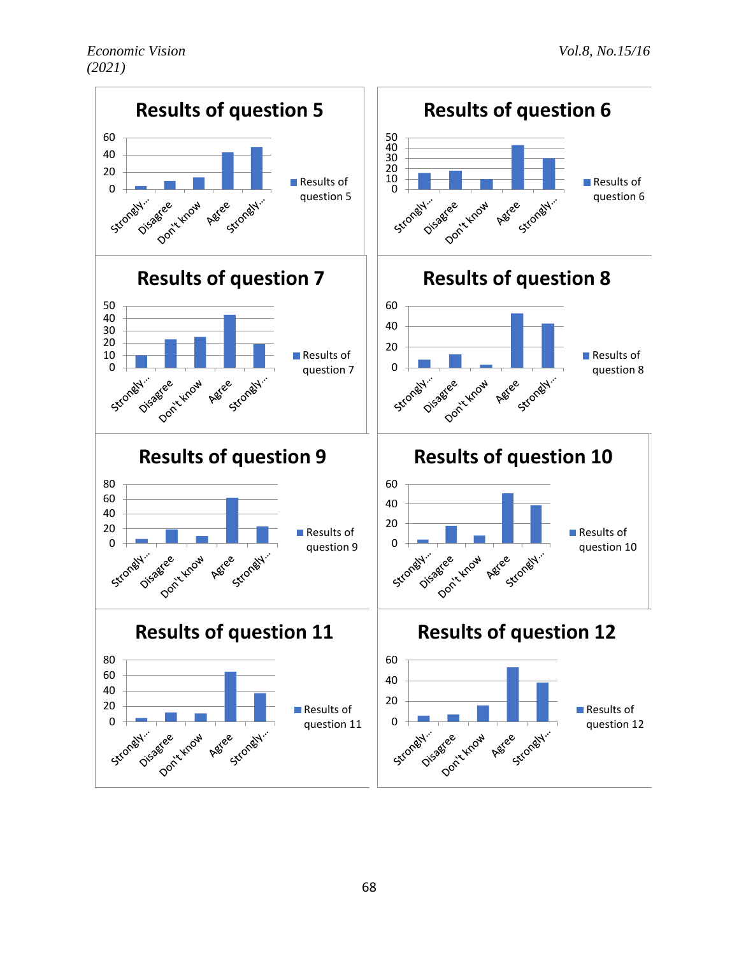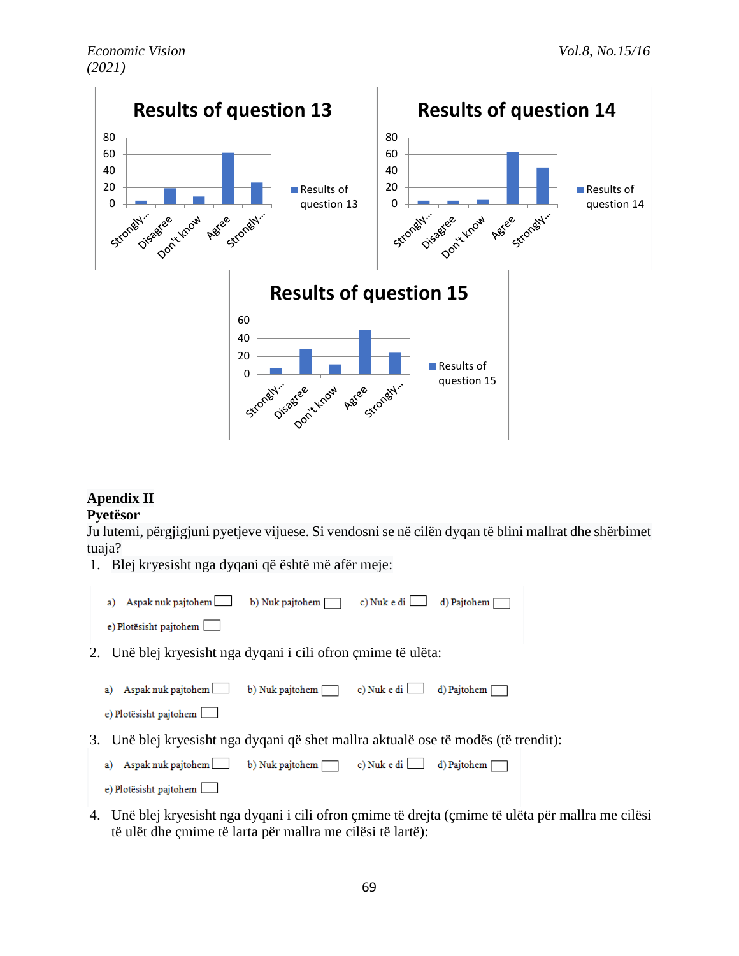

## **Apendix II**

## **Pyetësor**

Ju lutemi, përgjigjuni pyetjeve vijuese. Si vendosni se në cilën dyqan të blini mallrat dhe shërbimet tuaja?

1. Blej kryesisht nga dyqani që është më afër meje:

| a) Aspak nuk pajtohem $\Box$ b) Nuk pajtohem $\Box$           |  | c) Nuk e di $\Box$ d) Pajtohem $\Box$ |
|---------------------------------------------------------------|--|---------------------------------------|
| e) Plotësisht pajtohem                                        |  |                                       |
| 2. Unë blej kryesisht nga dyqani i cili ofron çmime të ulëta: |  |                                       |

a) Aspak nuk pajtohem b) Nuk pajtohem c) Nuk e di d) Pajtohem



3. Unë blej kryesisht nga dyqani që shet mallra aktualë ose të modës (të trendit):

| a) Aspak nuk pajtohem b) Nuk pajtohem c) Nuk e di d) Pajtohem d |  |  |
|-----------------------------------------------------------------|--|--|
| e) Plotësisht pajtohem                                          |  |  |

4. Unë blej kryesisht nga dyqani i cili ofron çmime të drejta (çmime të ulëta për mallra me cilësi të ulët dhe çmime të larta për mallra me cilësi të lartë):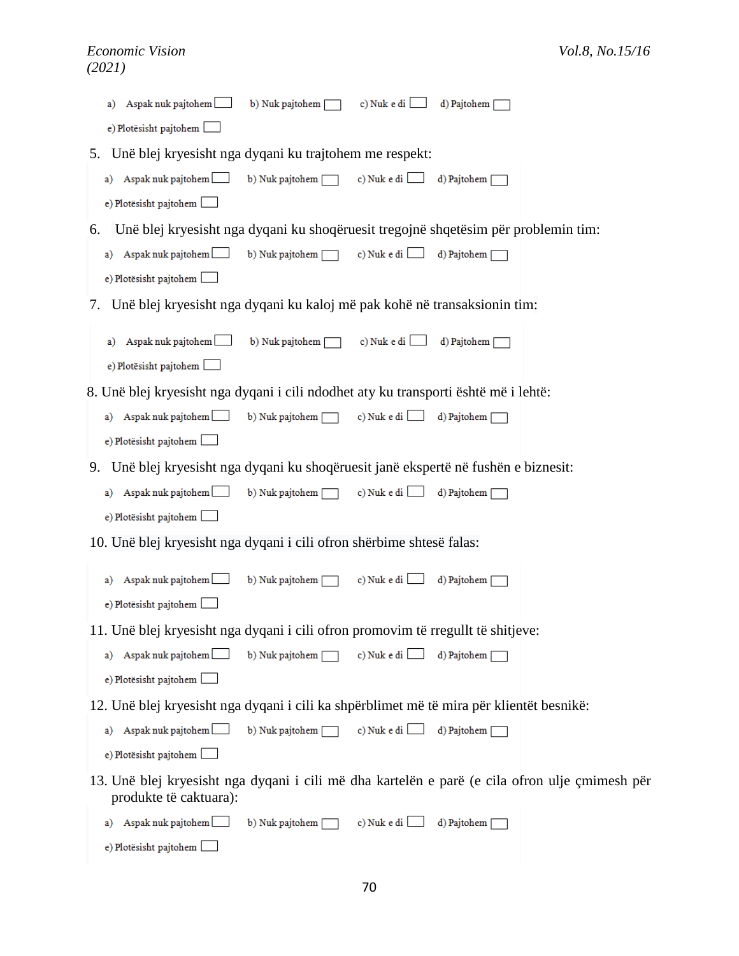|    | Aspak nuk pajtohem<br>b) Nuk pajtohem [<br>c) Nuk e di<br>d) Pajtohem<br>a)                                              |
|----|--------------------------------------------------------------------------------------------------------------------------|
|    | e) Plotësisht pajtohem                                                                                                   |
| 5. | Unë blej kryesisht nga dyqani ku trajtohem me respekt:                                                                   |
|    | a) Aspak nuk pajtohem b) Nuk pajtohem [<br>c) Nuk e di<br>d) Pajtohem [                                                  |
|    | e) Plotësisht pajtohem                                                                                                   |
| 6. | Unë blej kryesisht nga dyqani ku shoqëruesit tregojnë shqetësim për problemin tim:                                       |
|    | c) Nuk e di $\hfill\Box$<br>a) Aspak nuk pajtohem<br>b) Nuk pajtohem<br>d) Pajtohem                                      |
|    | e) Plotësisht pajtohem                                                                                                   |
| 7. | Unë blej kryesisht nga dyqani ku kaloj më pak kohë në transaksionin tim:                                                 |
|    | c) Nuk e di [<br>a) Aspak nuk pajtohem<br>b) Nuk pajtohem [<br>d) Pajtohem [                                             |
|    | e) Plotësisht pajtohem                                                                                                   |
|    | 8. Unë blej kryesisht nga dyqani i cili ndodhet aty ku transporti është më i lehtë:                                      |
|    | b) Nuk pajtohem<br>c) Nuk e di $\Box$<br>a) Aspak nuk pajtohem<br>d) Pajtohem                                            |
|    | e) Plotësisht pajtohem                                                                                                   |
| 9. | Unë blej kryesisht nga dyqani ku shoqëruesit janë ekspertë në fushën e biznesit:                                         |
|    | a) Aspak nuk pajtohem<br>b) Nuk pajtohem [<br>c) Nuk e di<br>d) Pajtohem [                                               |
|    | e) Plotësisht pajtohem [                                                                                                 |
|    | 10. Unë blej kryesisht nga dyqani i cili ofron shërbime shtesë falas:                                                    |
|    | b) Nuk pajtohem<br>c) Nuk e di [<br>Aspak nuk pajtohem<br>d) Pajtohem [<br>a)                                            |
|    | e) Plotësisht pajtohem                                                                                                   |
|    | 11. Unë blej kryesisht nga dyqani i cili ofron promovim të rregullt të shitjeve:                                         |
|    | c) Nuk e di<br>a) Aspak nuk pajtohem<br>b) Nuk pajtohem<br>d) Pajtohem                                                   |
|    | e) Plotësisht pajtohem                                                                                                   |
|    | 12. Unë blej kryesisht nga dyqani i cili ka shpërblimet më të mira për klientët besnikë:                                 |
|    | c) Nuk e di $\Box$<br>a) Aspak nuk pajtohem<br>b) Nuk pajtohem<br>d) Pajtohem [                                          |
|    | e) Plotësisht pajtohem                                                                                                   |
|    | 13. Unë blej kryesisht nga dyqani i cili më dha kartelën e parë (e cila ofron ulje çmimesh për<br>produkte të caktuara): |
|    | Aspak nuk pajtohem<br>c) Nuk e di<br>b) Nuk pajtohem [<br>d) Pajtohem [<br>a)                                            |
|    | e) Plotësisht pajtohem                                                                                                   |